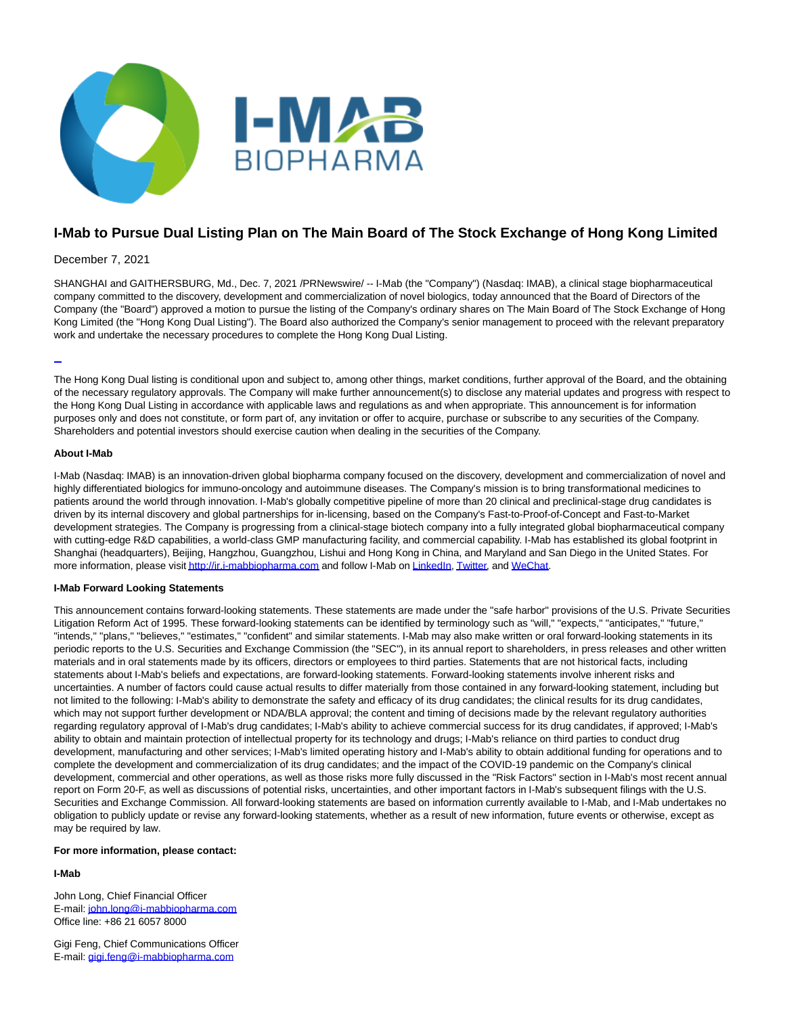

# **I-Mab to Pursue Dual Listing Plan on The Main Board of The Stock Exchange of Hong Kong Limited**

#### December 7, 2021

SHANGHAI and GAITHERSBURG, Md., Dec. 7, 2021 /PRNewswire/ -- I-Mab (the "Company") (Nasdaq: IMAB), a clinical stage biopharmaceutical company committed to the discovery, development and commercialization of novel biologics, today announced that the Board of Directors of the Company (the "Board") approved a motion to pursue the listing of the Company's ordinary shares on The Main Board of The Stock Exchange of Hong Kong Limited (the "Hong Kong Dual Listing"). The Board also authorized the Company's senior management to proceed with the relevant preparatory work and undertake the necessary procedures to complete the Hong Kong Dual Listing.

#### L

The Hong Kong Dual listing is conditional upon and subject to, among other things, market conditions, further approval of the Board, and the obtaining of the necessary regulatory approvals. The Company will make further announcement(s) to disclose any material updates and progress with respect to the Hong Kong Dual Listing in accordance with applicable laws and regulations as and when appropriate. This announcement is for information purposes only and does not constitute, or form part of, any invitation or offer to acquire, purchase or subscribe to any securities of the Company. Shareholders and potential investors should exercise caution when dealing in the securities of the Company.

#### **About I-Mab**

I-Mab (Nasdaq: IMAB) is an innovation-driven global biopharma company focused on the discovery, development and commercialization of novel and highly differentiated biologics for immuno-oncology and autoimmune diseases. The Company's mission is to bring transformational medicines to patients around the world through innovation. I-Mab's globally competitive pipeline of more than 20 clinical and preclinical-stage drug candidates is driven by its internal discovery and global partnerships for in-licensing, based on the Company's Fast-to-Proof-of-Concept and Fast-to-Market development strategies. The Company is progressing from a clinical-stage biotech company into a fully integrated global biopharmaceutical company with cutting-edge R&D capabilities, a world-class GMP manufacturing facility, and commercial capability. I-Mab has established its global footprint in Shanghai (headquarters), Beijing, Hangzhou, Guangzhou, Lishui and Hong Kong in China, and Maryland and San Diego in the United States. For more information, please visit http://ir.j-mabbiopharma.com and follow I-Mab on [LinkedIn,](https://www.linkedin.com/company/i-mab/) [Twitter,](https://twitter.com/IMabBiopharma) an[d WeChat.](https://mp.weixin.qq.com/s/_s634aizyQPuq1Vgf-hLGA)

#### **I-Mab Forward Looking Statements**

This announcement contains forward-looking statements. These statements are made under the "safe harbor" provisions of the U.S. Private Securities Litigation Reform Act of 1995. These forward-looking statements can be identified by terminology such as "will," "expects," "anticipates," "future," "intends," "plans," "believes," "estimates," "confident" and similar statements. I-Mab may also make written or oral forward-looking statements in its periodic reports to the U.S. Securities and Exchange Commission (the "SEC"), in its annual report to shareholders, in press releases and other written materials and in oral statements made by its officers, directors or employees to third parties. Statements that are not historical facts, including statements about I-Mab's beliefs and expectations, are forward-looking statements. Forward-looking statements involve inherent risks and uncertainties. A number of factors could cause actual results to differ materially from those contained in any forward-looking statement, including but not limited to the following: I-Mab's ability to demonstrate the safety and efficacy of its drug candidates; the clinical results for its drug candidates, which may not support further development or NDA/BLA approval; the content and timing of decisions made by the relevant regulatory authorities regarding regulatory approval of I-Mab's drug candidates; I-Mab's ability to achieve commercial success for its drug candidates, if approved; I-Mab's ability to obtain and maintain protection of intellectual property for its technology and drugs; I-Mab's reliance on third parties to conduct drug development, manufacturing and other services; I-Mab's limited operating history and I-Mab's ability to obtain additional funding for operations and to complete the development and commercialization of its drug candidates; and the impact of the COVID-19 pandemic on the Company's clinical development, commercial and other operations, as well as those risks more fully discussed in the "Risk Factors" section in I-Mab's most recent annual report on Form 20-F, as well as discussions of potential risks, uncertainties, and other important factors in I-Mab's subsequent filings with the U.S. Securities and Exchange Commission. All forward-looking statements are based on information currently available to I-Mab, and I-Mab undertakes no obligation to publicly update or revise any forward-looking statements, whether as a result of new information, future events or otherwise, except as may be required by law.

#### **For more information, please contact:**

## **I-Mab**

John Long, Chief Financial Officer E-mail: [john.long@i-mabbiopharma.com](mailto:john.long@i-mabbiopharma.com) Office line: +86 21 6057 8000

Gigi Feng, Chief Communications Officer E-mail: [gigi.feng@i-mabbiopharma.com](mailto:gigi.feng@i-mabbiopharma.com)